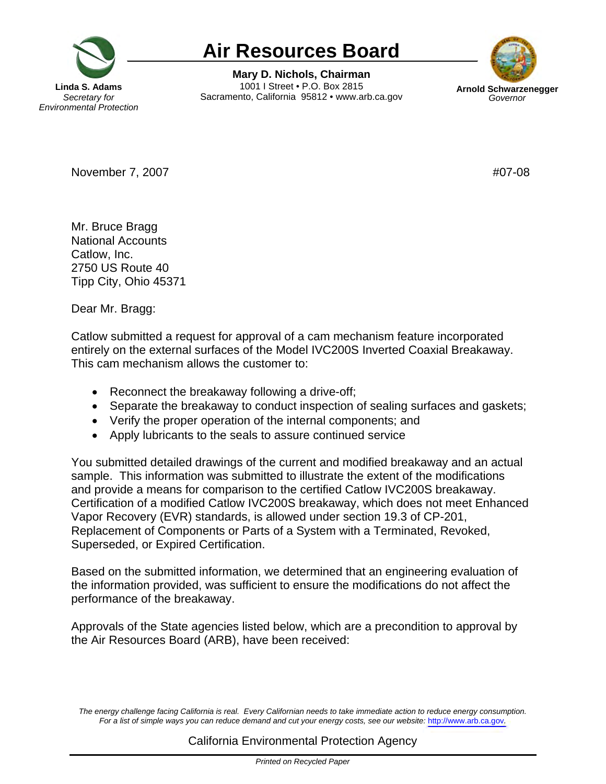

## **Air Resources Board**

**Mary D. Nichols, Chairman Linda S. Adams 1001 I Street • P.O. Box 2815 Arnold Schwarze**<br>Secretary for **Bacramento. California 95812 • www.arb.ca.gov** Governor Sacramento, California 95812 • www.arb.ca.gov



November 7, 2007 **#07-08** 

Mr. Bruce Bragg National Accounts Catlow, Inc. 2750 US Route 40 Tipp City, Ohio 45371

Dear Mr. Bragg:

Catlow submitted a request for approval of a cam mechanism feature incorporated entirely on the external surfaces of the Model IVC200S Inverted Coaxial Breakaway. This cam mechanism allows the customer to:

- Reconnect the breakaway following a drive-off;
- Separate the breakaway to conduct inspection of sealing surfaces and gaskets;
- Verify the proper operation of the internal components; and
- Apply lubricants to the seals to assure continued service

You submitted detailed drawings of the current and modified breakaway and an actual sample. This information was submitted to illustrate the extent of the modifications and provide a means for comparison to the certified Catlow IVC200S breakaway. Certification of a modified Catlow IVC200S breakaway, which does not meet Enhanced Vapor Recovery (EVR) standards, is allowed under section 19.3 of CP-201, Replacement of Components or Parts of a System with a Terminated, Revoked, Superseded, or Expired Certification.

Based on the submitted information, we determined that an engineering evaluation of the information provided, was sufficient to ensure the modifications do not affect the performance of the breakaway.

Approvals of the State agencies listed below, which are a precondition to approval by the Air Resources Board (ARB), have been received:

The energy challenge facing California is real. Every Californian needs to take immediate action to reduce energy consumption. Fora list of simple ways you can reduce demand and cut your energy costs, see our website: http://www.arb.ca.gov.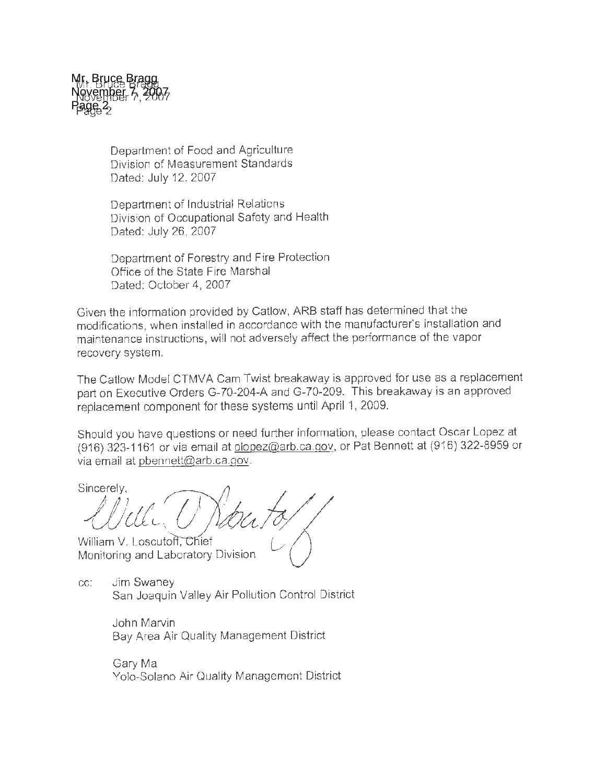

Department of Food and Agriculture Division of Measurement Standards Dated: July 12, 2007

Department of Industrial Relations Division of Occupational Safety and Health Dated: July 26, 2007

Department of Forestry and Fire Protection Office of the State Fire Marshal Dated: October 4, 2007

Given the information provided by Catlow, ARB staff has determined that the modifications, when installed in accordance with the manufacturer's installation and maintenance instructions, will not adversely affect the performance of the vapor recovery system.

The Catlow Model CTMVA Cam Twist breakaway is approved for use as a replacement part on Executive Orders G-70-204-A and G-70-209. This breakaway is an approved replacement component for these systems until April 1, 2009.

Should you have questions or need further information, please contact Oscar Lopez at (916) 323-1161 or via email at olopez@arb.ca.gov, or Pat Bennett at (916) 322-8959 or via email at pbennett@arb.ca.gov.

Sincerely.

William V. Loscutoff, Chief Monitoring and Laboratory Division

cc: Jim Swaney San Joaquin Valley Air Pollution Control District

> John Marvin Bay Area Air Quality Management District

Gary Ma Yolo-Solano Air Quality Management District